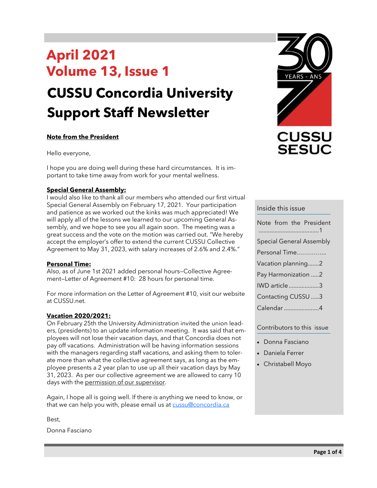# **April 2021 Volume 13, Issue 1**

# **CUSSU Concordia University Support Staff Newsletter**

#### **Note from the President**

Hello everyone,

I hope you are doing well during these hard circumstances. It is important to take time away from work for your mental wellness.

#### **Special General Assembly:**

I would also like to thank all our members who attended our first virtual Special General Assembly on February 17, 2021. Your participation and patience as we worked out the kinks was much appreciated! We will apply all of the lessons we learned to our upcoming General Assembly, and we hope to see you all again soon. The meeting was a great success and the vote on the motion was carried out. "We hereby accept the employer's offer to extend the current CUSSU Collective Agreement to May 31, 2023, with salary increases of 2.6% and 2.4%."

#### **Personal Time:**

Also, as of June 1st 2021 added personal hours—Collective Agreement—Letter of Agreement #10: 28 hours for personal time.

For more information on the Letter of Agreement #10, visit our website at CUSSU.net.

#### **Vacation 2020/2021:**

On February 25th the University Administration invited the union leaders, (presidents) to an update information meeting. It was said that employees will not lose their vacation days, and that Concordia does not pay off vacations. Administration will be having information sessions with the managers regarding staff vacations, and asking them to tolerate more than what the collective agreement says, as long as the employee presents a 2 year plan to use up all their vacation days by May 31, 2023. As per our collective agreement we are allowed to carry 10 days with the permission of our supervisor.

Again, I hope all is going well. If there is anything we need to know, or that we can help you with, please email us at [cussu@concordia.ca](mailto:cussu@concordia.ca)

Best,

Donna Fasciano



#### Inside this issue

| Note from the President         |
|---------------------------------|
| <b>Special General Assembly</b> |
| Personal Time                   |
| Vacation planning2              |
| Pay Harmonization 2             |
| IWD article3                    |
| Contacting CUSSU 3              |
| Calendar 4                      |
|                                 |

#### Contributors to this issue

- Donna Fasciano
- Daniela Ferrer
- Christabell Moyo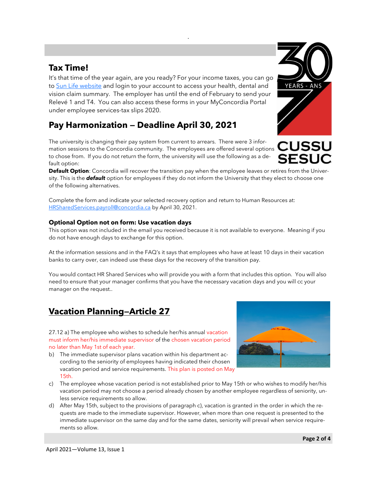## **Tax Time!**

It's that time of the year again, are you ready? For your income taxes, you can go to [Sun Life website](https://www.sunnet.sunlife.com/signin/mysunlife/home.wca) and login to your account to access your health, dental and vision claim summary. The employer has until the end of February to send your Relevé 1 and T4. You can also access these forms in your MyConcordia Portal under employee services-tax slips 2020.

# **Pay Harmonization — Deadline April 30, 2021**

The university is changing their pay system from current to arrears. There were 3 information sessions to the Concordia community. The employees are offered several options to chose from. If you do not return the form, the university will use the following as a default option:

**Default Option**: Concordia will recover the transition pay when the employee leaves or retires from the University. This is the *default* option for employees if they do not inform the University that they elect to choose one of the following alternatives.

.

Complete the form and indicate your selected recovery option and return to Human Resources at: [HRSharedServices.payroll@concordia.ca](mailto:HRSharedServices.payroll@concordia.ca) by April 30, 2021.

#### **Optional Option not on form: Use vacation days**

This option was not included in the email you received because it is not available to everyone. Meaning if you do not have enough days to exchange for this option.

At the information sessions and in the FAQ's it says that employees who have at least 10 days in their vacation banks to carry over, can indeed use these days for the recovery of the transition pay.

You would contact HR Shared Services who will provide you with a form that includes this option. You will also need to ensure that your manager confirms that you have the necessary vacation days and you will cc your manager on the request..

# **Vacation Planning—Article 27**

27.12 a) The employee who wishes to schedule her/his annual vacation must inform her/his immediate supervisor of the chosen vacation period no later than May 1st of each year.

- b) The immediate supervisor plans vacation within his department according to the seniority of employees having indicated their chosen vacation period and service requirements. This plan is posted on May 15th.
- c) The employee whose vacation period is not established prior to May 15th or who wishes to modify her/his vacation period may not choose a period already chosen by another employee regardless of seniority, unless service requirements so allow.
- d) After May 15th, subject to the provisions of paragraph c), vacation is granted in the order in which the requests are made to the immediate supervisor. However, when more than one request is presented to the immediate supervisor on the same day and for the same dates, seniority will prevail when service requirements so allow.



**CUSSU** 

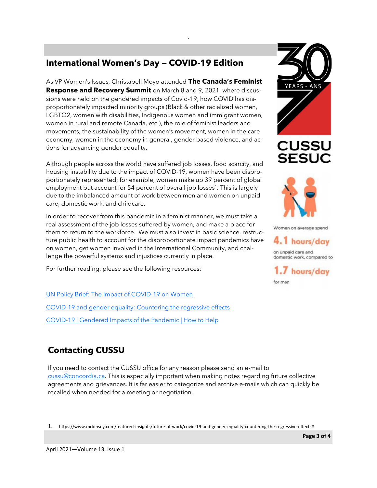# **International Women's Day — COVID-19 Edition**

As VP Women's Issues, Christabell Moyo attended **The Canada's Feminist Response and Recovery Summit** on March 8 and 9, 2021, where discussions were held on the gendered impacts of Covid-19, how COVID has disproportionately impacted minority groups (Black & other racialized women, LGBTQ2, women with disabilities, Indigenous women and immigrant women, women in rural and remote Canada, etc.), the role of feminist leaders and movements, the sustainability of the women's movement, women in the care economy, women in the economy in general, gender based violence, and actions for advancing gender equality.

.

Although people across the world have suffered job losses, food scarcity, and housing instability due to the impact of COVID-19, women have been disproportionately represented; for example, women make up 39 percent of global employment but account for 54 percent of overall job losses<sup>1</sup>. This is largely due to the imbalanced amount of work between men and women on unpaid care, domestic work, and childcare.

In order to recover from this pandemic in a feminist manner, we must take a real assessment of the job losses suffered by women, and make a place for them to return to the workforce. We must also invest in basic science, restructure public health to account for the disproportionate impact pandemics have on women, get women involved in the International Community, and challenge the powerful systems and injustices currently in place.

For further reading, please see the following resources:

[UN Policy Brief: The Impact of COVID](https://www.unwomen.org/-/media/headquarters/attachments/sections/library/publications/2020/policy-brief-the-impact-of-covid-19-on-women-en.pdf?la=en&vs=1406)-19 on Women COVID-[19 and gender equality: Countering the regressive effects](https://www.mckinsey.com/featured-insights/future-of-work/covid-19-and-gender-equality-countering-the-regressive-effects) COVID-[19 | Gendered Impacts of the Pandemic | How to Help](https://canadianwomen.org/covid-19/)



**CUSSU SESU** 



Women on average spend

4.1 hours/day on unpaid care and

domestic work, compared to 1.7 hours/day

for men

# **Contacting CUSSU**

If you need to contact the CUSSU office for any reason please send an e-mail to [cussu@concordia.ca.](mailto:cussu@concordia.ca) This is especially important when making notes regarding future collective agreements and grievances. It is far easier to categorize and archive e-mails which can quickly be recalled when needed for a meeting or negotiation.

1. https://www.mckinsey.com/featured-insights/future-of-work/covid-19-and-gender-equality-countering-the-regressive-effects#